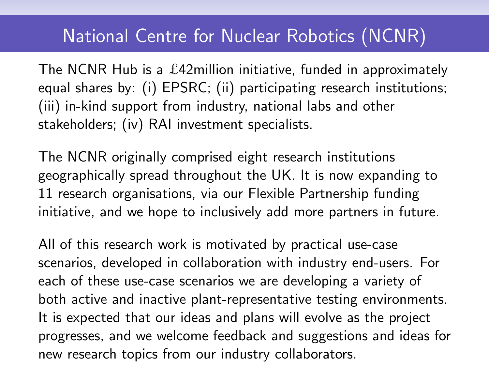## National Centre for Nuclear Robotics (NCNR)

The NCNR Hub is a £42million initiative, funded in approximately equal shares by: (i) EPSRC; (ii) participating research institutions; (iii) in-kind support from industry, national labs and other stakeholders; (iv) RAI investment specialists.

The NCNR originally comprised eight research institutions geographically spread throughout the UK. It is now expanding to 11 research organisations, via our Flexible Partnership funding initiative, and we hope to inclusively add more partners in future.

All of this research work is motivated by practical use-case scenarios, developed in collaboration with industry end-users. For each of these use-case scenarios we are developing a variety of both active and inactive plant-representative testing environments. It is expected that our ideas and plans will evolve as the project progresses, and we welcome feedback and suggestions and ideas for new research topics from our industry collaborators.